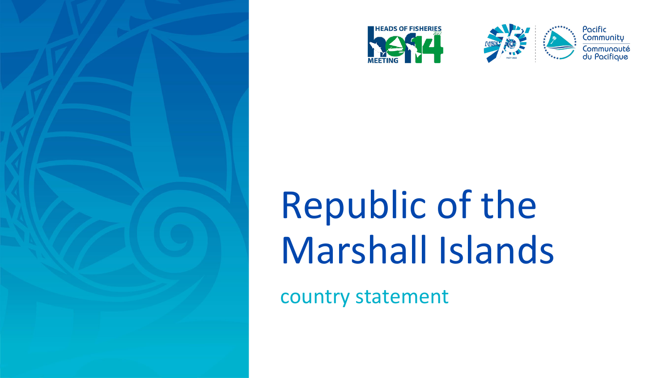







## Republic of the Marshall Islands

country statement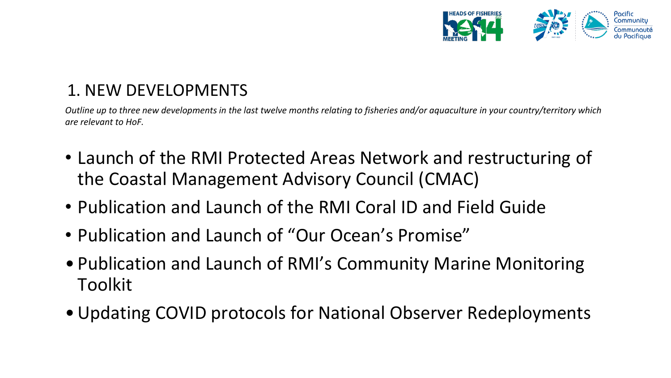

## 1. NEW DEVELOPMENTS

*Outline up to three new developments in the last twelve months relating to fisheries and/or aquaculture in your country/territory which are relevant to HoF.* 

- Launch of the RMI Protected Areas Network and restructuring of the Coastal Management Advisory Council (CMAC)
- Publication and Launch of the RMI Coral ID and Field Guide
- Publication and Launch of "Our Ocean's Promise"
- Publication and Launch of RMI's Community Marine Monitoring Toolkit
- •Updating COVID protocols for National Observer Redeployments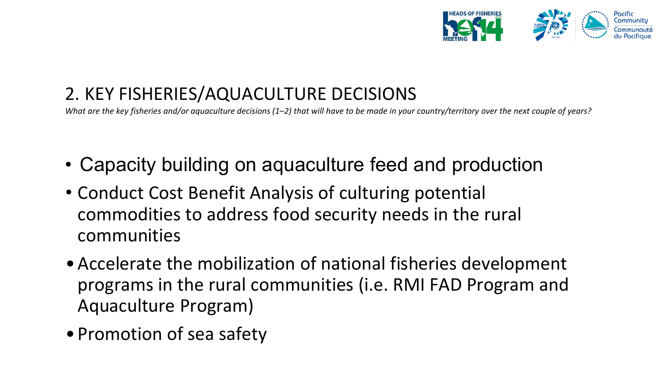

## 2. KEY FISHERIES/AQUACULTURE DECISIONS

*What are the key fisheries and/or aquaculture decisions (1–2) that will have to be made in your country/territory over the next couple of years?*

- Capacity building on aquaculture feed and production
- Conduct Cost Benefit Analysis of culturing potential commodities to address food security needs in the rural communities
- •Accelerate the mobilization of national fisheries development programs in the rural communities (i.e. RMI FAD Program and Aquaculture Program)
- Promotion of sea safety